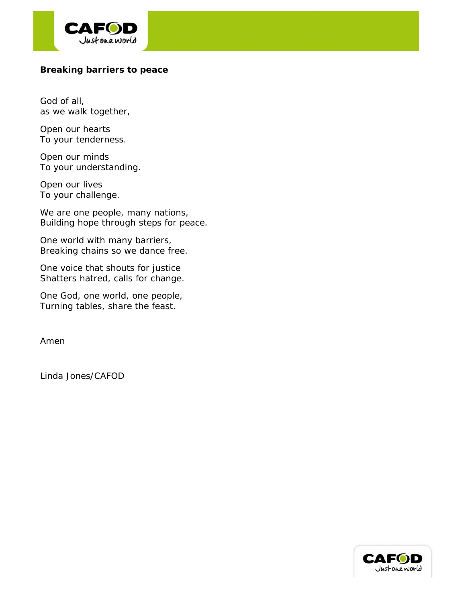

#### **Breaking barriers to peace**

God of all, as we walk together,

Open our hearts To your tenderness.

Open our minds To your understanding.

Open our lives To your challenge.

We are one people, many nations, Building hope through steps for peace.

One world with many barriers, Breaking chains so we dance free.

One voice that shouts for justice Shatters hatred, calls for change.

One God, one world, one people, Turning tables, share the feast.

Amen

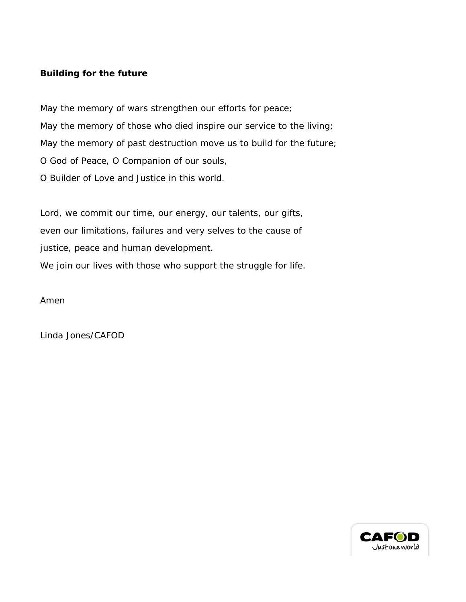# **Building for the future**

May the memory of wars strengthen our efforts for peace; May the memory of those who died inspire our service to the living; May the memory of past destruction move us to build for the future; O God of Peace, O Companion of our souls, O Builder of Love and Justice in this world.

Lord, we commit our time, our energy, our talents, our gifts, even our limitations, failures and very selves to the cause of justice, peace and human development. We join our lives with those who support the struggle for life.

Amen

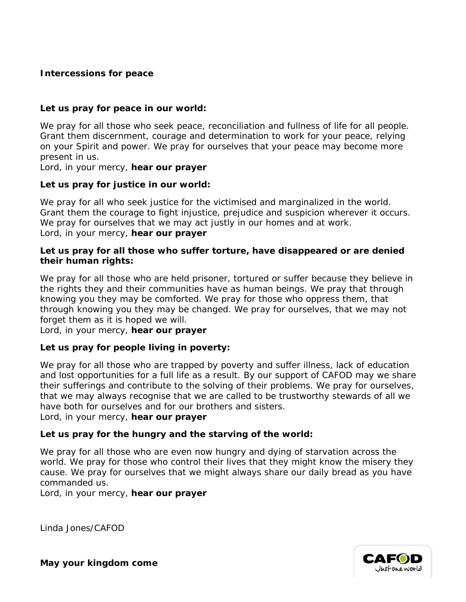## **Intercessions for peace**

### **Let us pray for peace in our world:**

We pray for all those who seek peace, reconciliation and fullness of life for all people. Grant them discernment, courage and determination to work for your peace, relying on your Spirit and power. We pray for ourselves that your peace may become more present in us.

Lord, in your mercy, **hear our prayer**

### **Let us pray for justice in our world:**

We pray for all who seek justice for the victimised and marginalized in the world. Grant them the courage to fight injustice, prejudice and suspicion wherever it occurs. We pray for ourselves that we may act justly in our homes and at work. Lord, in your mercy, **hear our prayer**

#### **Let us pray for all those who suffer torture, have disappeared or are denied their human rights:**

We pray for all those who are held prisoner, tortured or suffer because they believe in the rights they and their communities have as human beings. We pray that through knowing you they may be comforted. We pray for those who oppress them, that through knowing you they may be changed. We pray for ourselves, that we may not forget them as it is hoped we will.

Lord, in your mercy, **hear our prayer**

### **Let us pray for people living in poverty:**

We pray for all those who are trapped by poverty and suffer illness, lack of education and lost opportunities for a full life as a result. By our support of CAFOD may we share their sufferings and contribute to the solving of their problems. We pray for ourselves, that we may always recognise that we are called to be trustworthy stewards of all we have both for ourselves and for our brothers and sisters.

Lord, in your mercy, **hear our prayer**

### **Let us pray for the hungry and the starving of the world:**

We pray for all those who are even now hungry and dying of starvation across the world. We pray for those who control their lives that they might know the misery they cause. We pray for ourselves that we might always share our daily bread as you have commanded us.

Lord, in your mercy, **hear our prayer**

*Linda Jones/CAFOD*



**May your kingdom come**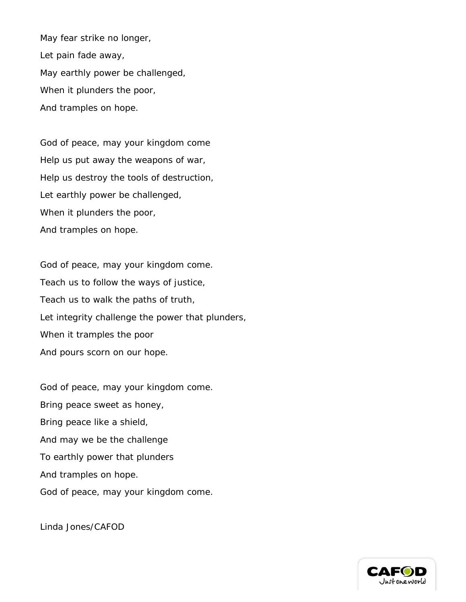May fear strike no longer, Let pain fade away, May earthly power be challenged, When it plunders the poor, And tramples on hope.

God of peace, may your kingdom come Help us put away the weapons of war, Help us destroy the tools of destruction, Let earthly power be challenged, When it plunders the poor, And tramples on hope.

God of peace, may your kingdom come. Teach us to follow the ways of justice, Teach us to walk the paths of truth, Let integrity challenge the power that plunders, When it tramples the poor And pours scorn on our hope.

God of peace, may your kingdom come. Bring peace sweet as honey, Bring peace like a shield, And may we be the challenge To earthly power that plunders And tramples on hope. God of peace, may your kingdom come.

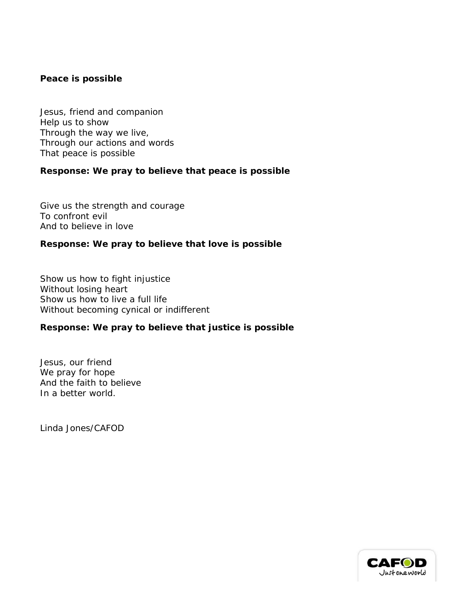#### **Peace is possible**

Jesus, friend and companion Help us to show Through the way we live, Through our actions and words That peace is possible

### **Response: We pray to believe that peace is possible**

Give us the strength and courage To confront evil And to believe in love

### **Response: We pray to believe that love is possible**

Show us how to fight injustice Without losing heart Show us how to live a full life Without becoming cynical or indifferent

## **Response: We pray to believe that justice is possible**

Jesus, our friend We pray for hope And the faith to believe In a better world.